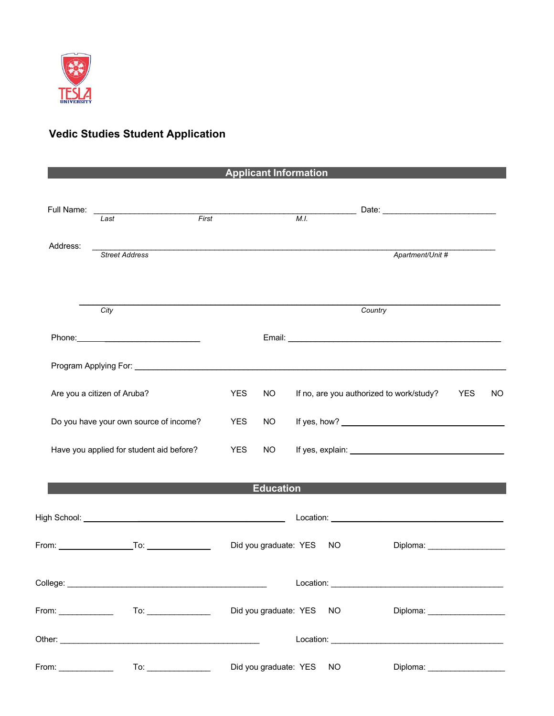

## **Vedic Studies Student Application**

|                                   |                                                                                                                                                                                                                                |                    |                       |                       | <b>Applicant Information</b> |                                                                                                                |                                 |     |
|-----------------------------------|--------------------------------------------------------------------------------------------------------------------------------------------------------------------------------------------------------------------------------|--------------------|-----------------------|-----------------------|------------------------------|----------------------------------------------------------------------------------------------------------------|---------------------------------|-----|
|                                   | Last                                                                                                                                                                                                                           | $\overline{First}$ |                       |                       |                              |                                                                                                                |                                 |     |
| Address:<br><b>Street Address</b> |                                                                                                                                                                                                                                |                    |                       |                       |                              | Apartment/Unit #                                                                                               |                                 |     |
|                                   | City                                                                                                                                                                                                                           |                    |                       |                       |                              | Country                                                                                                        |                                 |     |
|                                   | Phone: 2008 Phone: 2008 Phone: 2008 Phone: 2008 Phone: 2008 Phone: 2008 Phone: 2008 Phone: 2008 Phone: 2008 Phone: 2008 Phone: 2008 Phone: 2008 Phone: 2008 Phone: 2008 Phone: 2008 Phone: 2008 Phone: 2008 Phone: 2008 Phone: |                    |                       |                       |                              |                                                                                                                |                                 |     |
|                                   | Program Applying For: <b>Example 2018</b>                                                                                                                                                                                      |                    |                       |                       |                              |                                                                                                                |                                 |     |
| Are you a citizen of Aruba?       |                                                                                                                                                                                                                                |                    | <b>YES</b>            | <b>NO</b>             |                              | If no, are you authorized to work/study?                                                                       | <b>YES</b>                      | NO. |
|                                   | Do you have your own source of income?                                                                                                                                                                                         |                    |                       | NO.                   |                              |                                                                                                                |                                 |     |
|                                   | Have you applied for student aid before?                                                                                                                                                                                       |                    |                       | NO <sub>1</sub>       |                              | If yes, explain: 100 million and the state of the state of the state of the state of the state of the state of |                                 |     |
|                                   |                                                                                                                                                                                                                                |                    |                       | <b>Education</b>      |                              |                                                                                                                |                                 |     |
|                                   |                                                                                                                                                                                                                                |                    |                       |                       |                              |                                                                                                                |                                 |     |
|                                   |                                                                                                                                                                                                                                |                    |                       |                       | Did you graduate: YES NO     |                                                                                                                | Diploma: ______________________ |     |
|                                   |                                                                                                                                                                                                                                |                    |                       |                       |                              |                                                                                                                |                                 |     |
|                                   |                                                                                                                                                                                                                                |                    | Did you graduate: YES | NO.                   |                              | Diploma: _____________________                                                                                 |                                 |     |
|                                   |                                                                                                                                                                                                                                |                    |                       |                       |                              |                                                                                                                |                                 |     |
|                                   |                                                                                                                                                                                                                                |                    |                       | Did you graduate: YES | NO.                          |                                                                                                                | Diploma: ____________________   |     |